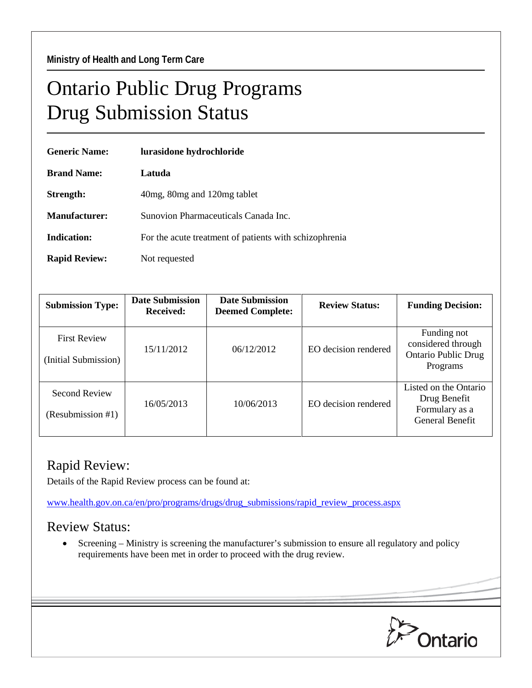## Ontario Public Drug Programs Drug Submission Status

| <b>Generic Name:</b> | lurasidone hydrochloride                               |  |  |
|----------------------|--------------------------------------------------------|--|--|
| <b>Brand Name:</b>   | Latuda                                                 |  |  |
| Strength:            | 40 mg, 80 mg and 120 mg tablet                         |  |  |
| Manufacturer:        | Sunovion Pharmaceuticals Canada Inc.                   |  |  |
| Indication:          | For the acute treatment of patients with schizophrenia |  |  |
| <b>Rapid Review:</b> | Not requested                                          |  |  |

| <b>Submission Type:</b>                     | Date Submission<br><b>Received:</b> | <b>Date Submission</b><br><b>Deemed Complete:</b> | <b>Review Status:</b> | <b>Funding Decision:</b>                                                          |
|---------------------------------------------|-------------------------------------|---------------------------------------------------|-----------------------|-----------------------------------------------------------------------------------|
| <b>First Review</b><br>(Initial Submission) | 15/11/2012                          | 06/12/2012                                        | EO decision rendered  | Funding not<br>considered through<br><b>Ontario Public Drug</b><br>Programs       |
| <b>Second Review</b><br>(Resubmission #1)   | 16/05/2013                          | 10/06/2013                                        | EO decision rendered  | Listed on the Ontario<br>Drug Benefit<br>Formulary as a<br><b>General Benefit</b> |

## Rapid Review:

Details of the Rapid Review process can be found at:

[www.health.gov.on.ca/en/pro/programs/drugs/drug\\_submissions/rapid\\_review\\_process.aspx](http://www.health.gov.on.ca/en/pro/programs/drugs/drug_submissions/rapid_review_process.aspx)

## Review Status:

• Screening – Ministry is screening the manufacturer's submission to ensure all regulatory and policy requirements have been met in order to proceed with the drug review.